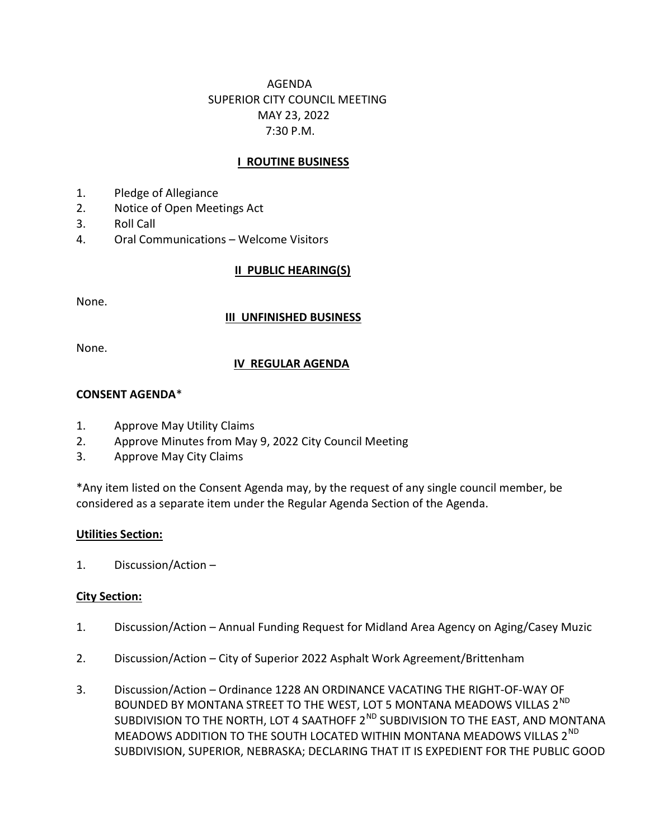# AGENDA SUPERIOR CITY COUNCIL MEETING MAY 23, 2022 7:30 P.M.

# **I ROUTINE BUSINESS**

- 1. Pledge of Allegiance
- 2. Notice of Open Meetings Act
- 3. Roll Call
- 4. Oral Communications Welcome Visitors

# II PUBLIC HEARING(S)

None.

#### III UNFINISHED BUSINESS

None.

## IV REGULAR AGENDA

#### CONSENT AGENDA\*

- 1. Approve May Utility Claims
- 2. Approve Minutes from May 9, 2022 City Council Meeting
- 3. Approve May City Claims

\*Any item listed on the Consent Agenda may, by the request of any single council member, be considered as a separate item under the Regular Agenda Section of the Agenda.

## Utilities Section:

1. Discussion/Action –

## City Section:

- 1. Discussion/Action Annual Funding Request for Midland Area Agency on Aging/Casey Muzic
- 2. Discussion/Action City of Superior 2022 Asphalt Work Agreement/Brittenham
- 3. Discussion/Action Ordinance 1228 AN ORDINANCE VACATING THE RIGHT-OF-WAY OF BOUNDED BY MONTANA STREET TO THE WEST, LOT 5 MONTANA MEADOWS VILLAS 2<sup>ND</sup> SUBDIVISION TO THE NORTH, LOT 4 SAATHOFF 2<sup>ND</sup> SUBDIVISION TO THE EAST, AND MONTANA MEADOWS ADDITION TO THE SOUTH LOCATED WITHIN MONTANA MEADOWS VILLAS 2<sup>ND</sup> SUBDIVISION, SUPERIOR, NEBRASKA; DECLARING THAT IT IS EXPEDIENT FOR THE PUBLIC GOOD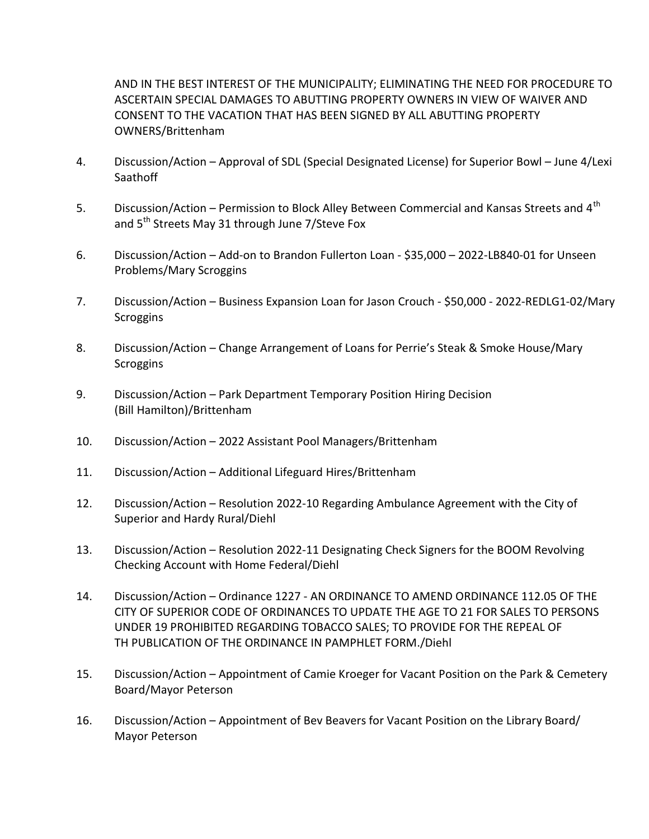AND IN THE BEST INTEREST OF THE MUNICIPALITY; ELIMINATING THE NEED FOR PROCEDURE TO ASCERTAIN SPECIAL DAMAGES TO ABUTTING PROPERTY OWNERS IN VIEW OF WAIVER AND CONSENT TO THE VACATION THAT HAS BEEN SIGNED BY ALL ABUTTING PROPERTY OWNERS/Brittenham

- 4. Discussion/Action Approval of SDL (Special Designated License) for Superior Bowl June 4/Lexi Saathoff
- 5. Discussion/Action Permission to Block Alley Between Commercial and Kansas Streets and 4<sup>th</sup> and 5<sup>th</sup> Streets May 31 through June 7/Steve Fox
- 6. Discussion/Action Add-on to Brandon Fullerton Loan \$35,000 2022-LB840-01 for Unseen Problems/Mary Scroggins
- 7. Discussion/Action Business Expansion Loan for Jason Crouch \$50,000 2022-REDLG1-02/Mary **Scroggins**
- 8. Discussion/Action Change Arrangement of Loans for Perrie's Steak & Smoke House/Mary **Scroggins**
- 9. Discussion/Action Park Department Temporary Position Hiring Decision (Bill Hamilton)/Brittenham
- 10. Discussion/Action 2022 Assistant Pool Managers/Brittenham
- 11. Discussion/Action Additional Lifeguard Hires/Brittenham
- 12. Discussion/Action Resolution 2022-10 Regarding Ambulance Agreement with the City of Superior and Hardy Rural/Diehl
- 13. Discussion/Action Resolution 2022-11 Designating Check Signers for the BOOM Revolving Checking Account with Home Federal/Diehl
- 14. Discussion/Action Ordinance 1227 AN ORDINANCE TO AMEND ORDINANCE 112.05 OF THE CITY OF SUPERIOR CODE OF ORDINANCES TO UPDATE THE AGE TO 21 FOR SALES TO PERSONS UNDER 19 PROHIBITED REGARDING TOBACCO SALES; TO PROVIDE FOR THE REPEAL OF TH PUBLICATION OF THE ORDINANCE IN PAMPHLET FORM./Diehl
- 15. Discussion/Action Appointment of Camie Kroeger for Vacant Position on the Park & Cemetery Board/Mayor Peterson
- 16. Discussion/Action Appointment of Bev Beavers for Vacant Position on the Library Board/ Mayor Peterson